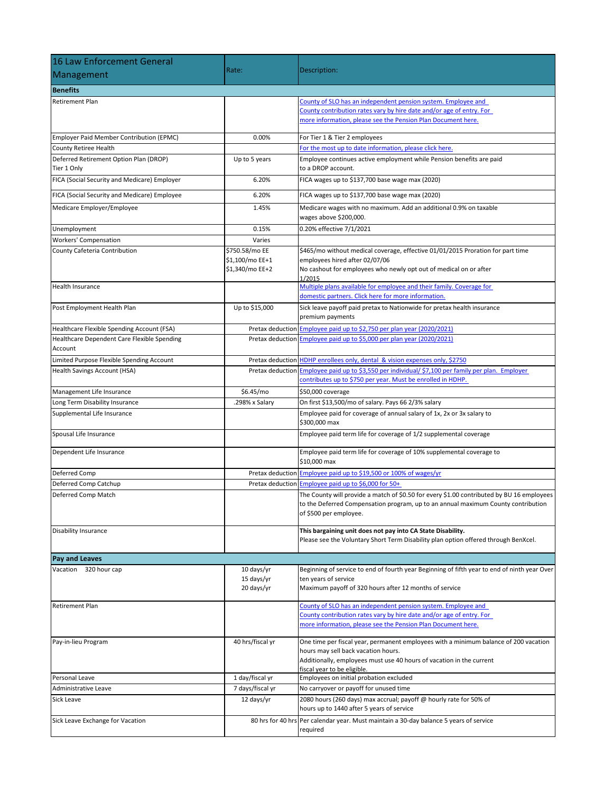| 16 Law Enforcement General                             |                                                      |                                                                                                                                                                                                                                    |
|--------------------------------------------------------|------------------------------------------------------|------------------------------------------------------------------------------------------------------------------------------------------------------------------------------------------------------------------------------------|
| Management                                             | Rate:                                                | Description:                                                                                                                                                                                                                       |
| <b>Benefits</b>                                        |                                                      |                                                                                                                                                                                                                                    |
| <b>Retirement Plan</b>                                 |                                                      | County of SLO has an independent pension system. Employee and                                                                                                                                                                      |
|                                                        |                                                      | County contribution rates vary by hire date and/or age of entry. For<br>more information, please see the Pension Plan Document here.                                                                                               |
| Employer Paid Member Contribution (EPMC)               | 0.00%                                                | For Tier 1 & Tier 2 employees                                                                                                                                                                                                      |
| County Retiree Health                                  |                                                      | For the most up to date information, please click here.                                                                                                                                                                            |
| Deferred Retirement Option Plan (DROP)<br>Tier 1 Only  | Up to 5 years                                        | Employee continues active employment while Pension benefits are paid<br>to a DROP account.                                                                                                                                         |
| FICA (Social Security and Medicare) Employer           | 6.20%                                                | FICA wages up to \$137,700 base wage max (2020)                                                                                                                                                                                    |
| FICA (Social Security and Medicare) Employee           | 6.20%                                                | FICA wages up to \$137,700 base wage max (2020)                                                                                                                                                                                    |
| Medicare Employer/Employee                             | 1.45%                                                | Medicare wages with no maximum. Add an additional 0.9% on taxable<br>wages above \$200,000.                                                                                                                                        |
| Unemployment                                           | 0.15%                                                | 0.20% effective 7/1/2021                                                                                                                                                                                                           |
| Workers' Compensation                                  | Varies                                               |                                                                                                                                                                                                                                    |
| County Cafeteria Contribution                          | \$750.58/mo EE<br>\$1,100/mo EE+1<br>\$1,340/mo EE+2 | \$465/mo without medical coverage, effective 01/01/2015 Proration for part time<br>employees hired after 02/07/06<br>No cashout for employees who newly opt out of medical on or after<br>1/2015                                   |
| <b>Health Insurance</b>                                |                                                      | Multiple plans available for employee and their family. Coverage for<br>domestic partners. Click here for more information.                                                                                                        |
| Post Employment Health Plan                            | Up to \$15,000                                       | Sick leave payoff paid pretax to Nationwide for pretax health insurance<br>premium payments                                                                                                                                        |
| Healthcare Flexible Spending Account (FSA)             | Pretax deduction                                     | Employee paid up to \$2,750 per plan year (2020/2021)                                                                                                                                                                              |
| Healthcare Dependent Care Flexible Spending<br>Account | Pretax deduction                                     | Employee paid up to \$5,000 per plan year (2020/2021)                                                                                                                                                                              |
| Limited Purpose Flexible Spending Account              |                                                      | Pretax deduction HDHP enrollees only, dental & vision expenses only, \$2750                                                                                                                                                        |
| Health Savings Account (HSA)                           | Pretax deduction                                     | Employee paid up to \$3,550 per individual/ \$7,100 per family per plan. Employer<br>contributes up to \$750 per year. Must be enrolled in HDHP.                                                                                   |
| Management Life Insurance                              | \$6.45/mo                                            | \$50,000 coverage                                                                                                                                                                                                                  |
| Long Term Disability Insurance                         | .298% x Salary                                       | On first \$13,500/mo of salary. Pays 66 2/3% salary                                                                                                                                                                                |
| Supplemental Life Insurance                            |                                                      | Employee paid for coverage of annual salary of 1x, 2x or 3x salary to<br>\$300,000 max                                                                                                                                             |
| Spousal Life Insurance                                 |                                                      | Employee paid term life for coverage of 1/2 supplemental coverage                                                                                                                                                                  |
| Dependent Life Insurance                               |                                                      | Employee paid term life for coverage of 10% supplemental coverage to<br>\$10,000 max                                                                                                                                               |
| Deferred Comp                                          |                                                      | Pretax deduction Employee paid up to \$19,500 or 100% of wages/yr                                                                                                                                                                  |
| Deferred Comp Catchup                                  | Pretax deduction                                     | Employee paid up to \$6,000 for 50+                                                                                                                                                                                                |
| Deferred Comp Match                                    |                                                      | The County will provide a match of \$0.50 for every \$1.00 contributed by BU 16 employees<br>to the Deferred Compensation program, up to an annual maximum County contribution<br>of \$500 per employee.                           |
| <b>Disability Insurance</b>                            |                                                      | This bargaining unit does not pay into CA State Disability.<br>Please see the Voluntary Short Term Disability plan option offered through BenXcel.                                                                                 |
| <b>Pay and Leaves</b>                                  |                                                      |                                                                                                                                                                                                                                    |
| Vacation 320 hour cap                                  | 10 days/yr<br>15 days/yr<br>20 days/yr               | Beginning of service to end of fourth year Beginning of fifth year to end of ninth year Over<br>ten years of service<br>Maximum payoff of 320 hours after 12 months of service                                                     |
| <b>Retirement Plan</b>                                 |                                                      | County of SLO has an independent pension system. Employee and<br>County contribution rates vary by hire date and/or age of entry. For<br>more information, please see the Pension Plan Document here.                              |
| Pay-in-lieu Program                                    | 40 hrs/fiscal yr                                     | One time per fiscal year, permanent employees with a minimum balance of 200 vacation<br>hours may sell back vacation hours.<br>Additionally, employees must use 40 hours of vacation in the current<br>fiscal year to be eligible. |
| Personal Leave                                         | 1 day/fiscal yr                                      | Employees on initial probation excluded                                                                                                                                                                                            |
| Administrative Leave                                   | 7 days/fiscal yr                                     | No carryover or payoff for unused time                                                                                                                                                                                             |
| <b>Sick Leave</b>                                      | 12 days/yr                                           | 2080 hours (260 days) max accrual; payoff @ hourly rate for 50% of<br>hours up to 1440 after 5 years of service                                                                                                                    |
| Sick Leave Exchange for Vacation                       |                                                      | 80 hrs for 40 hrs Per calendar year. Must maintain a 30-day balance 5 years of service<br>required                                                                                                                                 |